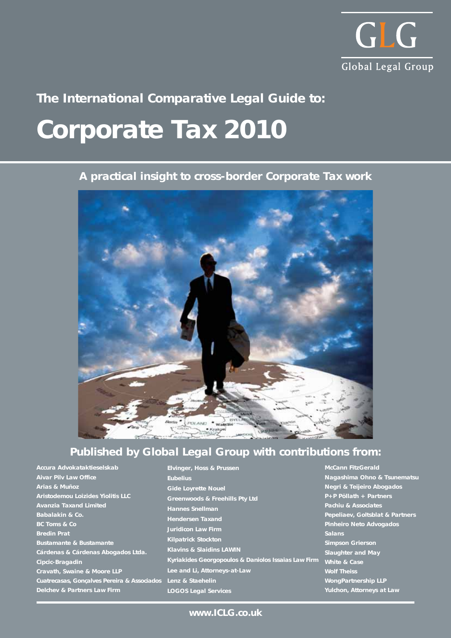

# **Corporate Tax 2010 The International Comparative Legal Guide to:**

## **A practical insight to cross-border Corporate Tax work**



# **Published by Global Legal Group with contributions from:**

**Kyriakides Georgopoulos & Daniolos Issaias Law Firm**

| Accura Advokataktieselskab                  | <b>Elvinger, Hoss &amp; Prussen</b>       |
|---------------------------------------------|-------------------------------------------|
| <b>Aivar Pilv Law Office</b>                | <b>Eubelius</b>                           |
| Arias & Muñoz                               | <b>Gide Loyrette Nouel</b>                |
| <b>Aristodemou Loizides Yiolitis LLC</b>    | <b>Greenwoods &amp; Freehills Pty Ltd</b> |
| <b>Avanzia Taxand Limited</b>               | <b>Hannes Snellman</b>                    |
| Babalakin & Co.                             | <b>Hendersen Taxand</b>                   |
| <b>BC Toms &amp; Co</b>                     | <b>Juridicon Law Firm</b>                 |
| <b>Bredin Prat</b>                          |                                           |
| <b>Bustamante &amp; Bustamante</b>          | <b>Kilpatrick Stockton</b>                |
| Cárdenas & Cárdenas Abogados Ltda.          | <b>Klavins &amp; Slaidins LAWIN</b>       |
| Cipcic-Bragadin                             | Kyriakides Georgopoulos & Dani            |
| Cravath, Swaine & Moore LLP                 | Lee and Li, Attorneys-at-Law              |
| Cuatrecasas, Gonçalves Pereira & Associados | Lenz & Staehelin                          |
| <b>Delchev &amp; Partners Law Firm</b>      | <b>LOGOS Legal Services</b>               |

**McCann FitzGerald Nagashima Ohno & Tsunematsu Negri & Teijeiro Abogados P+P Pöllath + Partners Pachiu & Associates Pepeliaev, Goltsblat & Partners Pinheiro Neto Advogados Salans Simpson Grierson Slaughter and May White & Case Wolf Theiss WongPartnership LLP Yulchon, Attorneys at Law**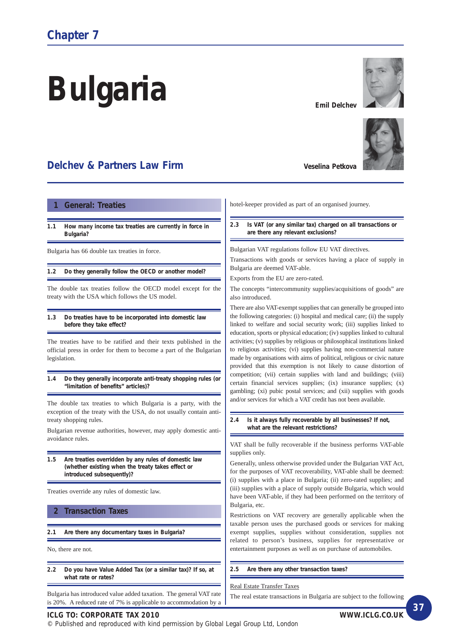# **Bulgaria**

# **Delchev & Partners Law Firm**

#### **1 General: Treaties**

**1.1 How many income tax treaties are currently in force in Bulgaria?**

Bulgaria has 66 double tax treaties in force.

**1.2 Do they generally follow the OECD or another model?**

The double tax treaties follow the OECD model except for the treaty with the USA which follows the US model.

**1.3 Do treaties have to be incorporated into domestic law before they take effect?**

The treaties have to be ratified and their texts published in the official press in order for them to become a part of the Bulgarian legislation.

**1.4 Do they generally incorporate anti-treaty shopping rules (or "limitation of benefits" articles)?**

The double tax treaties to which Bulgaria is a party, with the exception of the treaty with the USA, do not usually contain antitreaty shopping rules.

Bulgarian revenue authorities, however, may apply domestic antiavoidance rules.

**1.5 Are treaties overridden by any rules of domestic law (whether existing when the treaty takes effect or introduced subsequently)?**

Treaties override any rules of domestic law.

#### **2 Transaction Taxes**

**2.1 Are there any documentary taxes in Bulgaria?**

No, there are not.

**2.2 Do you have Value Added Tax (or a similar tax)? If so, at what rate or rates?**

Bulgaria has introduced value added taxation. The general VAT rate is 20%. A reduced rate of 7% is applicable to accommodation by a **Veselina Petkova** 

**Emil Delchev**

hotel-keeper provided as part of an organised journey.

#### **2.3 Is VAT (or any similar tax) charged on all transactions or are there any relevant exclusions?**

Bulgarian VAT regulations follow EU VAT directives.

Transactions with goods or services having a place of supply in Bulgaria are deemed VAT-able.

Exports from the EU are zero-rated.

The concepts "intercommunity supplies/acquisitions of goods" are also introduced.

There are also VAT-exempt supplies that can generally be grouped into the following categories: (i) hospital and medical care; (ii) the supply linked to welfare and social security work; (iii) supplies linked to education, sports or physical education; (iv) supplies linked to cultural activities; (v) supplies by religious or philosophical institutions linked to religious activities; (vi) supplies having non-commercial nature made by organisations with aims of political, religious or civic nature provided that this exemption is not likely to cause distortion of competition; (vii) certain supplies with land and buildings; (viii) certain financial services supplies; (ix) insurance supplies; (x) gambling; (xi) pubic postal services; and (xii) supplies with goods and/or services for which a VAT credit has not been available.

**2.4 Is it always fully recoverable by all businesses? If not, what are the relevant restrictions?**

VAT shall be fully recoverable if the business performs VAT-able supplies only.

Generally, unless otherwise provided under the Bulgarian VAT Act, for the purposes of VAT recoverability, VAT-able shall be deemed: (i) supplies with a place in Bulgaria; (ii) zero-rated supplies; and (iii) supplies with a place of supply outside Bulgaria, which would have been VAT-able, if they had been performed on the territory of Bulgaria, etc.

Restrictions on VAT recovery are generally applicable when the taxable person uses the purchased goods or services for making exempt supplies, supplies without consideration, supplies not related to person's business, supplies for representative or entertainment purposes as well as on purchase of automobiles.

**2.5 Are there any other transaction taxes?**

#### Real Estate Transfer Taxes

The real estate transactions in Bulgaria are subject to the following

#### **ICLG TO: CORPORATE TAX 2010 WWW.ICLG.CO.UK**



**37**

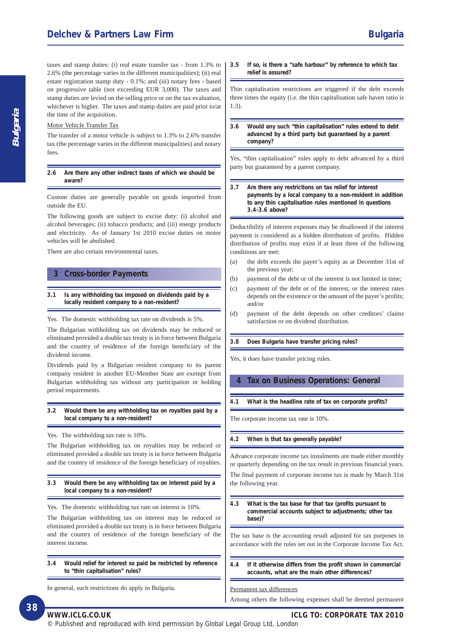2.6% (the percentage varies in the different municipalities); (ii) real

estate registration stamp duty - 0.1%; and (iii) notary fees - based on progressive table (not exceeding EUR 3,000). The taxes and stamp duties are levied on the selling price or on the tax evaluation, whichever is higher. The taxes and stamp duties are paid prior to/at the time of the acquisition.

#### Motor Vehicle Transfer Tax

The transfer of a motor vehicle is subject to 1.3% to 2.6% transfer tax (the percentage varies in the different municipalities) and notary fees.

**2.6 Are there any other indirect taxes of which we should be aware?**

Custom duties are generally payable on goods imported from outside the EU.

The following goods are subject to excise duty: (i) alcohol and alcohol beverages; (ii) tobacco products; and (iii) energy products and electricity. As of January 1st 2010 excise duties on motor vehicles will be abolished.

There are also certain environmental taxes.

#### **3 Cross-border Payments**

#### **3.1 Is any withholding tax imposed on dividends paid by a locally resident company to a non-resident?**

Yes. The domestic withholding tax rate on dividends is 5%.

The Bulgarian withholding tax on dividends may be reduced or eliminated provided a double tax treaty is in force between Bulgaria and the country of residence of the foreign beneficiary of the dividend income.

Dividends paid by a Bulgarian resident company to its parent company resident in another EU-Member State are exempt from Bulgarian withholding tax without any participation or holding period requirements.

**3.2 Would there be any withholding tax on royalties paid by a local company to a non-resident?**

Yes. The withholding tax rate is 10%.

The Bulgarian withholding tax on royalties may be reduced or eliminated provided a double tax treaty is in force between Bulgaria and the country of residence of the foreign beneficiary of royalties.

**3.3 Would there be any withholding tax on interest paid by a local company to a non-resident?**

Yes. The domestic withholding tax rate on interest is 10%.

The Bulgarian withholding tax on interest may be reduced or eliminated provided a double tax treaty is in force between Bulgaria and the country of residence of the foreign beneficiary of the interest income.

**3.4 Would relief for interest so paid be restricted by reference to "thin capitalisation" rules?**

In general, such restrictions do apply in Bulgaria.

**3.5 If so, is there a "safe harbour" by reference to which tax relief is assured?**

Thin capitalisation restrictions are triggered if the debt exceeds three times the equity (i.e. the thin capitalisation safe haven ratio is 1:3).

**3.6 Would any such "thin capitalisation" rules extend to debt advanced by a third party but guaranteed by a parent company?**

Yes, "thin capitalisation" rules apply to debt advanced by a third party but guaranteed by a parent company.

**3.7 Are there any restrictions on tax relief for interest payments by a local company to a non-resident in addition to any thin capitalisation rules mentioned in questions 3.4-3.6 above?**

Deductibility of interest expenses may be disallowed if the interest payment is considered as a hidden distribution of profits. Hidden distribution of profits may exist if at least three of the following conditions are met:

- (a) the debt exceeds the payer's equity as at December 31st of the previous year;
- (b) payment of the debt or of the interest is not limited in time;
- (c) payment of the debt or of the interest, or the interest rates depends on the existence or the amount of the payer's profits; and/or
- (d) payment of the debt depends on other creditors' claims satisfaction or on dividend distribution.

**3.8 Does Bulgaria have transfer pricing rules?**

Yes, it does have transfer pricing rules.

#### **4 Tax on Business Operations: General**

**4.1 What is the headline rate of tax on corporate profits?**

The corporate income tax rate is 10%.

#### **4.2 When is that tax generally payable?**

Advance corporate income tax instalments are made either monthly or quarterly depending on the tax result in previous financial years. The final payment of corporate income tax is made by March 31st the following year.

**4.3 What is the tax base for that tax (profits pursuant to commercial accounts subject to adjustments; other tax base)?**

The tax base is the accounting result adjusted for tax purposes in accordance with the rules set out in the Corporate Income Tax Act.

**4.4 If it otherwise differs from the profit shown in commercial accounts, what are the main other differences?**

#### Permanent tax differences

Among others the following expenses shall be deemed permanent

**Bulgaria**

**WWW.ICLG.CO.UK ICLG TO: CORPORATE TAX 2010**

© Published and reproduced with kind permission by Global Legal Group Ltd, London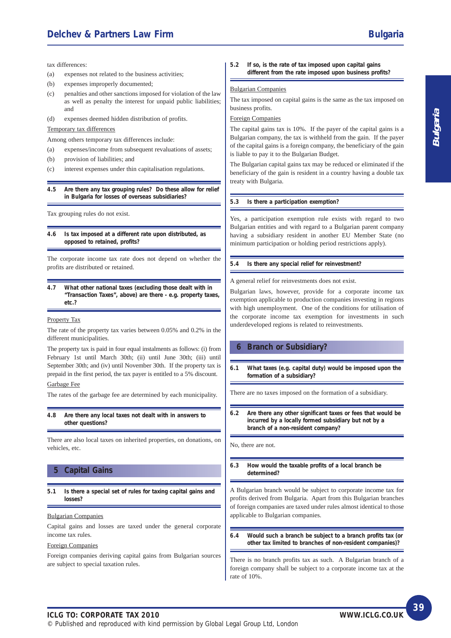### **Delchev & Partners Law Firm Bulgaria Bulgaria Bulgaria**

tax differences:

- (a) expenses not related to the business activities;
- (b) expenses improperly documented;
- (c) penalties and other sanctions imposed for violation of the law as well as penalty the interest for unpaid public liabilities; and
- (d) expenses deemed hidden distribution of profits.

Temporary tax differences

Among others temporary tax differences include:

- (a) expenses/income from subsequent revaluations of assets;
- (b) provision of liabilities; and
- (c) interest expenses under thin capitalisation regulations.

**4.5 Are there any tax grouping rules? Do these allow for relief in Bulgaria for losses of overseas subsidiaries?**

Tax grouping rules do not exist.

**4.6 Is tax imposed at a different rate upon distributed, as opposed to retained, profits?**

The corporate income tax rate does not depend on whether the profits are distributed or retained.

**4.7 What other national taxes (excluding those dealt with in "Transaction Taxes", above) are there - e.g. property taxes, etc.?**

#### Property Tax

The rate of the property tax varies between 0.05% and 0.2% in the different municipalities.

The property tax is paid in four equal instalments as follows: (i) from February 1st until March 30th; (ii) until June 30th; (iii) until September 30th; and (iv) until November 30th. If the property tax is prepaid in the first period, the tax payer is entitled to a 5% discount.

#### Garbage Fee

The rates of the garbage fee are determined by each municipality.

**4.8 Are there any local taxes not dealt with in answers to other questions?**

There are also local taxes on inherited properties, on donations, on vehicles, etc.

#### **5 Capital Gains**

**5.1 Is there a special set of rules for taxing capital gains and losses?**

#### Bulgarian Companies

Capital gains and losses are taxed under the general corporate income tax rules.

#### Foreign Companies

Foreign companies deriving capital gains from Bulgarian sources are subject to special taxation rules.

**5.2 If so, is the rate of tax imposed upon capital gains different from the rate imposed upon business profits?**

#### Bulgarian Companies

The tax imposed on capital gains is the same as the tax imposed on business profits.

#### Foreign Companies

The capital gains tax is 10%. If the payer of the capital gains is a Bulgarian company, the tax is withheld from the gain. If the payer of the capital gains is a foreign company, the beneficiary of the gain is liable to pay it to the Bulgarian Budget.

The Bulgarian capital gains tax may be reduced or eliminated if the beneficiary of the gain is resident in a country having a double tax treaty with Bulgaria.

#### **5.3 Is there a participation exemption?**

Yes, a participation exemption rule exists with regard to two Bulgarian entities and with regard to a Bulgarian parent company having a subsidiary resident in another EU Member State (no minimum participation or holding period restrictions apply).

#### **5.4 Is there any special relief for reinvestment?**

A general relief for reinvestments does not exist.

Bulgarian laws, however, provide for a corporate income tax exemption applicable to production companies investing in regions with high unemployment. One of the conditions for utilisation of the corporate income tax exemption for investments in such underdeveloped regions is related to reinvestments.

#### **6 Branch or Subsidiary?**

**6.1 What taxes (e.g. capital duty) would be imposed upon the formation of a subsidiary?**

There are no taxes imposed on the formation of a subsidiary.

**6.2 Are there any other significant taxes or fees that would be incurred by a locally formed subsidiary but not by a branch of a non-resident company?**

No, there are not.

**6.3 How would the taxable profits of a local branch be determined?**

A Bulgarian branch would be subject to corporate income tax for profits derived from Bulgaria. Apart from this Bulgarian branches of foreign companies are taxed under rules almost identical to those applicable to Bulgarian companies.

**6.4 Would such a branch be subject to a branch profits tax (or other tax limited to branches of non-resident companies)?**

There is no branch profits tax as such. A Bulgarian branch of a foreign company shall be subject to a corporate income tax at the rate of 10%.

**39**